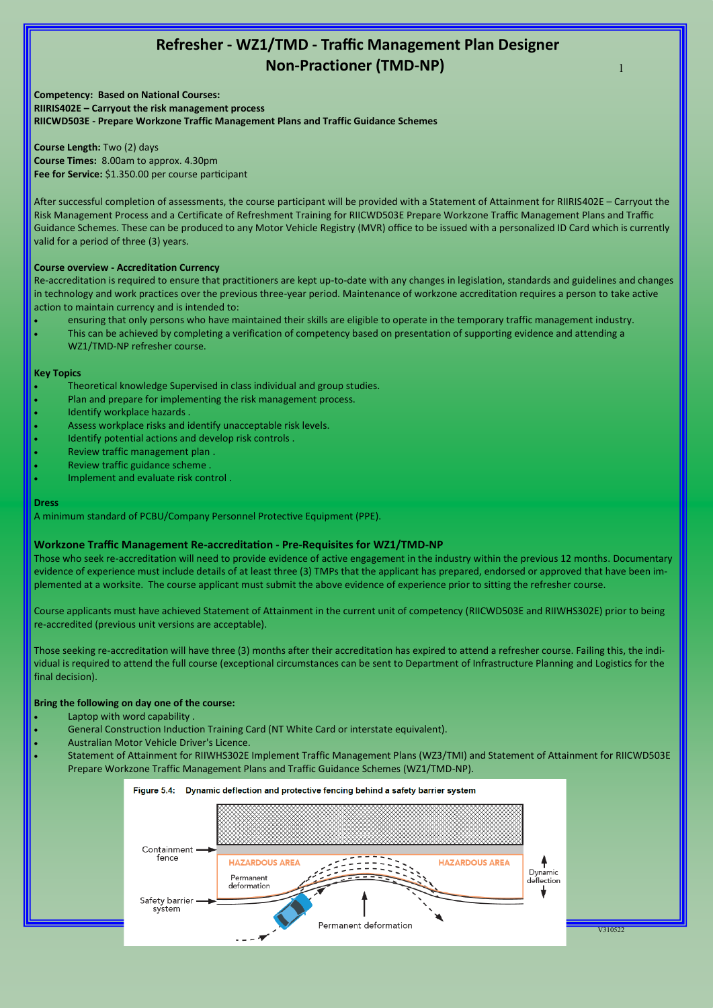# **Refresher - WZ1/TMD - Traffic Management Plan Designer Non-Practioner (TMD-NP)**

1

**Competency: Based on National Courses: RIIRIS402E – Carryout the risk management process RIICWD503E - Prepare Workzone Traffic Management Plans and Traffic Guidance Schemes**

**Course Length:** Two (2) days **Course Times:** 8.00am to approx. 4.30pm **Fee for Service:** \$1.350.00 per course participant

After successful completion of assessments, the course participant will be provided with a Statement of Attainment for RIIRIS402E – Carryout the Risk Management Process and a Certificate of Refreshment Training for RIICWD503E Prepare Workzone Traffic Management Plans and Traffic Guidance Schemes. These can be produced to any Motor Vehicle Registry (MVR) office to be issued with a personalized ID Card which is currently valid for a period of three (3) years.

#### **Course overview - Accreditation Currency**

Re-accreditation is required to ensure that practitioners are kept up-to-date with any changes in legislation, standards and guidelines and changes in technology and work practices over the previous three-year period. Maintenance of workzone accreditation requires a person to take active action to maintain currency and is intended to:

- ensuring that only persons who have maintained their skills are eligible to operate in the temporary traffic management industry.
- This can be achieved by completing a verification of competency based on presentation of supporting evidence and attending a WZ1/TMD-NP refresher course.

#### **Key Topics**

- Theoretical knowledge Supervised in class individual and group studies.
- Plan and prepare for implementing the risk management process.
- Identify workplace hazards .
- Assess workplace risks and identify unacceptable risk levels.
- Identify potential actions and develop risk controls .
- Review traffic management plan .
- Review traffic guidance scheme .
- Implement and evaluate risk control .

#### **Dress**

A minimum standard of PCBU/Company Personnel Protective Equipment (PPE).

#### **Workzone Traffic Management Re-accreditation - Pre-Requisites for WZ1/TMD-NP**

Those who seek re-accreditation will need to provide evidence of active engagement in the industry within the previous 12 months. Documentary evidence of experience must include details of at least three (3) TMPs that the applicant has prepared, endorsed or approved that have been implemented at a worksite. The course applicant must submit the above evidence of experience prior to sitting the refresher course.

Course applicants must have achieved Statement of Attainment in the current unit of competency (RIICWD503E and RIIWHS302E) prior to being re-accredited (previous unit versions are acceptable).

Those seeking re-accreditation will have three (3) months after their accreditation has expired to attend a refresher course. Failing this, the individual is required to attend the full course (exceptional circumstances can be sent to Department of Infrastructure Planning and Logistics for the final decision).

#### **Bring the following on day one of the course:**

- Laptop with word capability .
- General Construction Induction Training Card (NT White Card or interstate equivalent).
- Australian Motor Vehicle Driver's Licence.
- Statement of Attainment for RIIWHS302E Implement Traffic Management Plans (WZ3/TMI) and Statement of Attainment for RIICWD503E Prepare Workzone Traffic Management Plans and Traffic Guidance Schemes (WZ1/TMD-NP).

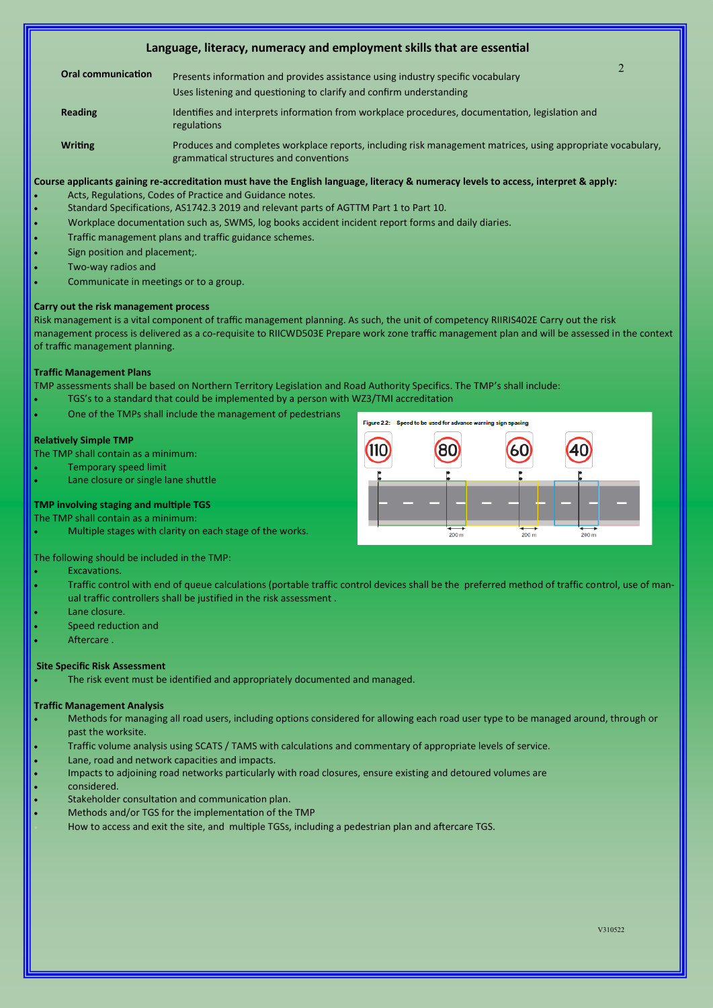### **Language, literacy, numeracy and employment skills that are essential**

- **Oral communication** Presents information and provides assistance using industry specific vocabulary Uses listening and questioning to clarify and confirm understanding
- Reading **Interpreties and interprets information from workplace procedures, documentation, legislation and** regulations
- Writing **Produces and completes workplace reports**, including risk management matrices, using appropriate vocabulary, grammatical structures and conventions

#### **Course applicants gaining re-accreditation must have the English language, literacy & numeracy levels to access, interpret & apply:**

- Acts, Regulations, Codes of Practice and Guidance notes.
- Standard Specifications, AS1742.3 2019 and relevant parts of AGTTM Part 1 to Part 10.
- Workplace documentation such as, SWMS, log books accident incident report forms and daily diaries.
- Traffic management plans and traffic guidance schemes.
- Sign position and placement;.
- Two-way radios and
- Communicate in meetings or to a group.

#### **Carry out the risk management process**

Risk management is a vital component of traffic management planning. As such, the unit of competency RIIRIS402E Carry out the risk management process is delivered as a co-requisite to RIICWD503E Prepare work zone traffic management plan and will be assessed in the context of traffic management planning.

#### **Traffic Management Plans**

TMP assessments shall be based on Northern Territory Legislation and Road Authority Specifics. The TMP's shall include:

- TGS's to a standard that could be implemented by a person with WZ3/TMI accreditation
- One of the TMPs shall include the management of pedestrians

#### **Relatively Simple TMP**

The TMP shall contain as a minimum:

- Temporary speed limit
- Lane closure or single lane shuttle

# Eigene 3.3- $\frac{1}{200}$ 200

#### **TMP involving staging and multiple TGS**  The TMP shall contain as a minimum:

• Multiple stages with clarity on each stage of the works.

The following should be included in the TMP:

- Excavations.
- Traffic control with end of queue calculations (portable traffic control devices shall be the preferred method of traffic control, use of manual traffic controllers shall be justified in the risk assessment .
- Lane closure.
- Speed reduction and
- Aftercare .

#### **Site Specific Risk Assessment**

The risk event must be identified and appropriately documented and managed.

#### **Traffic Management Analysis**

- Methods for managing all road users, including options considered for allowing each road user type to be managed around, through or past the worksite.
- Traffic volume analysis using SCATS / TAMS with calculations and commentary of appropriate levels of service.
- Lane, road and network capacities and impacts.
- Impacts to adjoining road networks particularly with road closures, ensure existing and detoured volumes are
- considered.
- Stakeholder consultation and communication plan.
- Methods and/or TGS for the implementation of the TMP
- How to access and exit the site, and multiple TGSs, including a pedestrian plan and aftercare TGS.

 $\mathfrak{D}$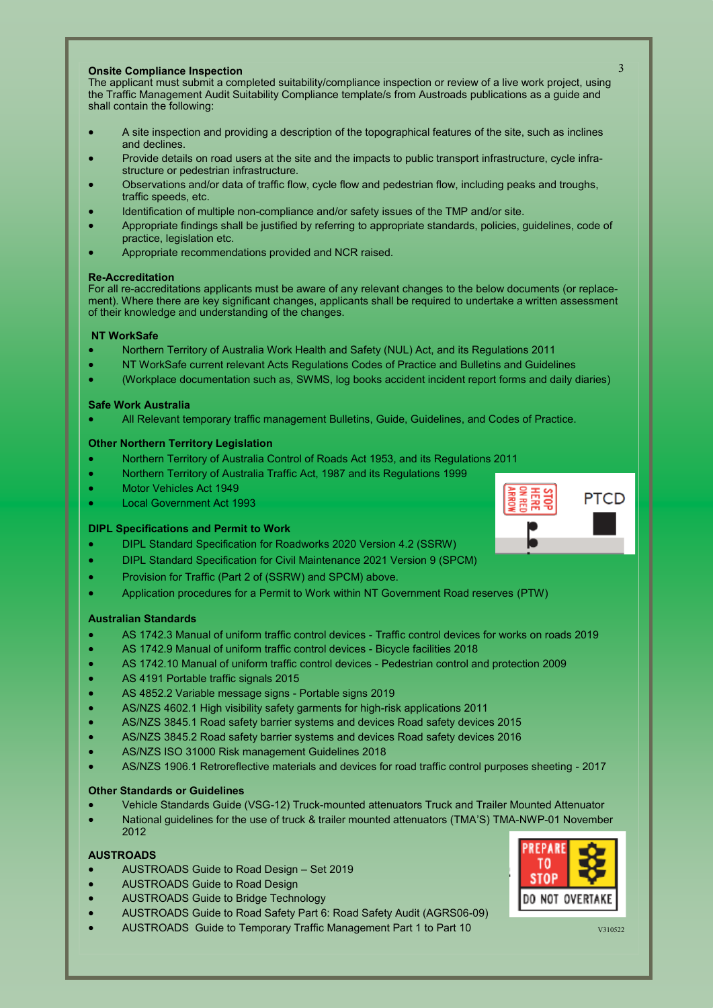#### **Onsite Compliance Inspection**

The applicant must submit a completed suitability/compliance inspection or review of a live work project, using the Traffic Management Audit Suitability Compliance template/s from Austroads publications as a guide and shall contain the following:

- A site inspection and providing a description of the topographical features of the site, such as inclines and declines.
- Provide details on road users at the site and the impacts to public transport infrastructure, cycle infrastructure or pedestrian infrastructure.
- Observations and/or data of traffic flow, cycle flow and pedestrian flow, including peaks and troughs, traffic speeds, etc.
- Identification of multiple non-compliance and/or safety issues of the TMP and/or site.
- Appropriate findings shall be justified by referring to appropriate standards, policies, guidelines, code of practice, legislation etc.
- Appropriate recommendations provided and NCR raised.

#### **Re-Accreditation**

For all re-accreditations applicants must be aware of any relevant changes to the below documents (or replacement). Where there are key significant changes, applicants shall be required to undertake a written assessment of their knowledge and understanding of the changes.

#### **NT WorkSafe**

- Northern Territory of Australia Work Health and Safety (NUL) Act, and its Regulations 2011
- NT WorkSafe current relevant Acts Regulations Codes of Practice and Bulletins and Guidelines
- (Workplace documentation such as, SWMS, log books accident incident report forms and daily diaries)

#### **Safe Work Australia**

• All Relevant temporary traffic management Bulletins, Guide, Guidelines, and Codes of Practice.

#### **Other Northern Territory Legislation**

- Northern Territory of Australia Control of Roads Act 1953, and its Regulations 2011
- Northern Territory of Australia Traffic Act, 1987 and its Regulations 1999
- Motor Vehicles Act 1949
- Local Government Act 1993

#### **DIPL Specifications and Permit to Work**

- DIPL Standard Specification for Roadworks 2020 Version 4.2 (SSRW)
- DIPL Standard Specification for Civil Maintenance 2021 Version 9 (SPCM)
- Provision for Traffic (Part 2 of (SSRW) and SPCM) above.
- Application procedures for a Permit to Work within NT Government Road reserves (PTW)

#### **Australian Standards**

- AS 1742.3 Manual of uniform traffic control devices Traffic control devices for works on roads 2019
- AS 1742.9 Manual of uniform traffic control devices Bicycle facilities 2018
- AS 1742.10 Manual of uniform traffic control devices Pedestrian control and protection 2009
- AS 4191 Portable traffic signals 2015
- AS 4852.2 Variable message signs Portable signs 2019
- AS/NZS 4602.1 High visibility safety garments for high-risk applications 2011
- AS/NZS 3845.1 Road safety barrier systems and devices Road safety devices 2015
- AS/NZS 3845.2 Road safety barrier systems and devices Road safety devices 2016
- AS/NZS ISO 31000 Risk management Guidelines 2018
- AS/NZS 1906.1 Retroreflective materials and devices for road traffic control purposes sheeting 2017

#### **Other Standards or Guidelines**

- Vehicle Standards Guide (VSG-12) Truck-mounted attenuators Truck and Trailer Mounted Attenuator
- National guidelines for the use of truck & trailer mounted attenuators (TMA'S) TMA-NWP-01 November 2012

## **AUSTROADS**

- AUSTROADS Guide to Road Design Set 2019
- AUSTROADS Guide to Road Design
- AUSTROADS Guide to Bridge Technology
- AUSTROADS Guide to Road Safety Part 6: Road Safety Audit (AGRS06-09)
- AUSTROADS Guide to Temporary Traffic Management Part 1 to Part 10 **AUSTROADS** C<sub>310522</sub>